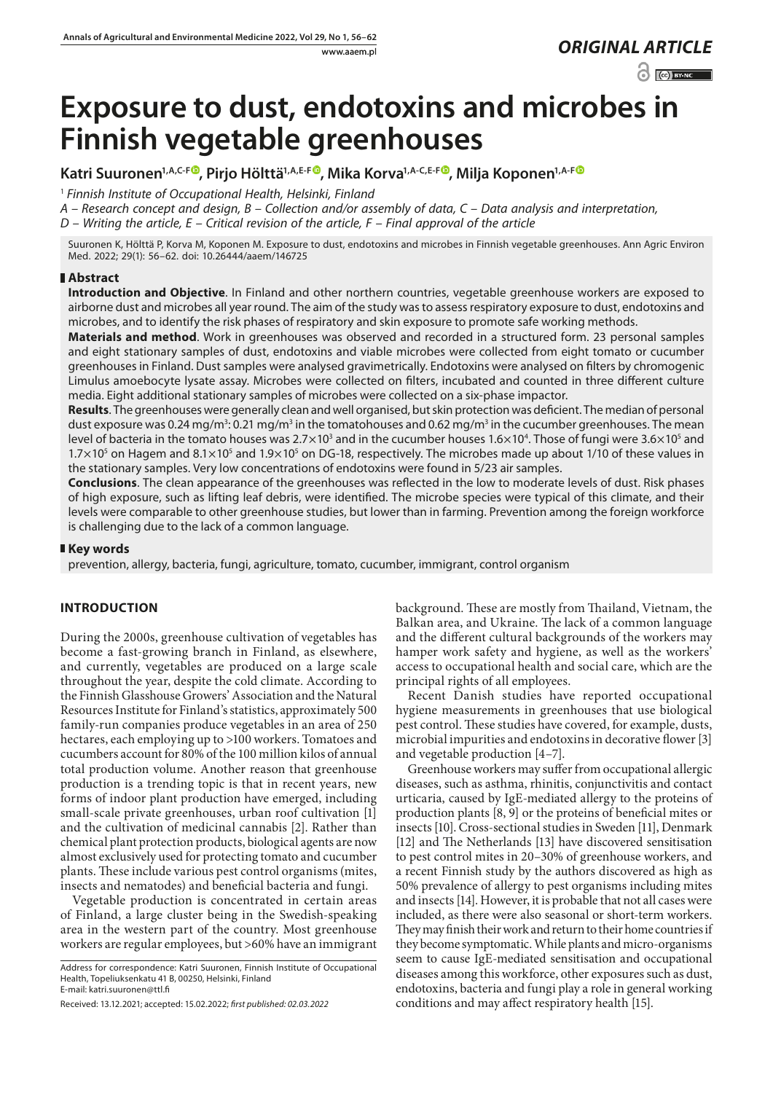www.aaem.pl *ORIGINAL [ARTICLE](https://creativecommons.org/licenses/by-nc/3.0/pl/deed.en)* 

 $\odot$   $\odot$  BY-NC

# **Exposure to dust, endotoxins and microbes in Finnish vegetable greenhouses**

**Katri Suuronen1,A,C-F [,](https://orcid.org/0000-0002-1353-121X) Pirjo Hölttä1,A,E-F , Mika Korva1,A-C,E-F [,](https://orcid.org/0000-0003-2774-781X) Milja Koponen1,A-F**

<sup>1</sup> *Finnish Institute of Occupational Health, Helsinki, Finland*

*A – Research concept and design, B – Collection and/or assembly of data, C – Data analysis and interpretation,* 

*D – Writing the article, E – Critical revision of the article, F – Final approval of the article*

Suuronen K, Hölttä P, Korva M, Koponen M. Exposure to dust, endotoxins and microbes in Finnish vegetable greenhouses. Ann Agric Environ Med. 2022; 29(1): 56–62. doi: 10.26444/aaem/146725

### **Abstract**

**Introduction and Objective**. In Finland and other northern countries, vegetable greenhouse workers are exposed to airborne dust and microbes all year round. The aim of the study was to assess respiratory exposure to dust, endotoxins and microbes, and to identify the risk phases of respiratory and skin exposure to promote safe working methods.

**Materials and method**. Work in greenhouses was observed and recorded in a structured form. 23 personal samples and eight stationary samples of dust, endotoxins and viable microbes were collected from eight tomato or cucumber greenhouses in Finland. Dust samples were analysed gravimetrically. Endotoxins were analysed on filters by chromogenic Limulus amoebocyte lysate assay. Microbes were collected on filters, incubated and counted in three different culture media. Eight additional stationary samples of microbes were collected on a six-phase impactor.

**Results**. The greenhouses were generally clean and well organised, but skin protection was deficient. The median of personal dust exposure was 0.24 mg/m<sup>3</sup>: 0.21 mg/m<sup>3</sup> in the tomatohouses and 0.62 mg/m<sup>3</sup> in the cucumber greenhouses. The mean level of bacteria in the tomato houses was 2.7 $\times$ 10 $^3$  and in the cucumber houses 1.6 $\times$ 10 $^4$ . Those of fungi were 3.6 $\times$ 10 $^5$  and  $1.7\times10^5$  on Hagem and  $8.1\times10^5$  and  $1.9\times10^5$  on DG-18, respectively. The microbes made up about 1/10 of these values in the stationary samples. Very low concentrations of endotoxins were found in 5/23 air samples.

**Conclusions**. The clean appearance of the greenhouses was reflected in the low to moderate levels of dust. Risk phases of high exposure, such as lifting leaf debris, were identified. The microbe species were typical of this climate, and their levels were comparable to other greenhouse studies, but lower than in farming. Prevention among the foreign workforce is challenging due to the lack of a common language.

#### **Key words**

prevention, allergy, bacteria, fungi, agriculture, tomato, cucumber, immigrant, control organism

## **INTRODUCTION**

During the 2000s, greenhouse cultivation of vegetables has become a fast-growing branch in Finland, as elsewhere, and currently, vegetables are produced on a large scale throughout the year, despite the cold climate. According to the Finnish Glasshouse Growers' Association and the Natural Resources Institute for Finland's statistics, approximately 500 family-run companies produce vegetables in an area of 250 hectares, each employing up to >100 workers. Tomatoes and cucumbers account for 80% of the 100 million kilos of annual total production volume. Another reason that greenhouse production is a trending topic is that in recent years, new forms of indoor plant production have emerged, including small-scale private greenhouses, urban roof cultivation [1] and the cultivation of medicinal cannabis [2]. Rather than chemical plant protection products, biological agents are now almost exclusively used for protecting tomato and cucumber plants. These include various pest control organisms (mites, insects and nematodes) and beneficial bacteria and fungi.

Vegetable production is concentrated in certain areas of Finland, a large cluster being in the Swedish-speaking area in the western part of the country. Most greenhouse workers are regular employees, but >60% have an immigrant

background. These are mostly from Thailand, Vietnam, the Balkan area, and Ukraine. The lack of a common language and the different cultural backgrounds of the workers may hamper work safety and hygiene, as well as the workers' access to occupational health and social care, which are the principal rights of all employees.

Recent Danish studies have reported occupational hygiene measurements in greenhouses that use biological pest control. These studies have covered, for example, dusts, microbial impurities and endotoxins in decorative flower [3] and vegetable production [4–7].

Greenhouse workers may suffer from occupational allergic diseases, such as asthma, rhinitis, conjunctivitis and contact urticaria, caused by IgE-mediated allergy to the proteins of production plants [8, 9] or the proteins of beneficial mites or insects [10]. Cross-sectional studies in Sweden [11], Denmark [12] and The Netherlands [13] have discovered sensitisation to pest control mites in 20–30% of greenhouse workers, and a recent Finnish study by the authors discovered as high as 50% prevalence of allergy to pest organisms including mites and insects [14]. However, it is probable that not all cases were included, as there were also seasonal or short-term workers. They may finish their work and return to their home countries if they become symptomatic. While plants and micro-organisms seem to cause IgE-mediated sensitisation and occupational diseases among this workforce, other exposures such as dust, endotoxins, bacteria and fungi play a role in general working conditions and may affect respiratory health [15].

Address for correspondence: Katri Suuronen, Finnish Institute of Occupational Health, Topeliuksenkatu 41 B, 00250, Helsinki, Finland E-mail: katri.suuronen@ttl.fi

Received: 13.12.2021; accepted: 15.02.2022; *first published: 02.03.2022*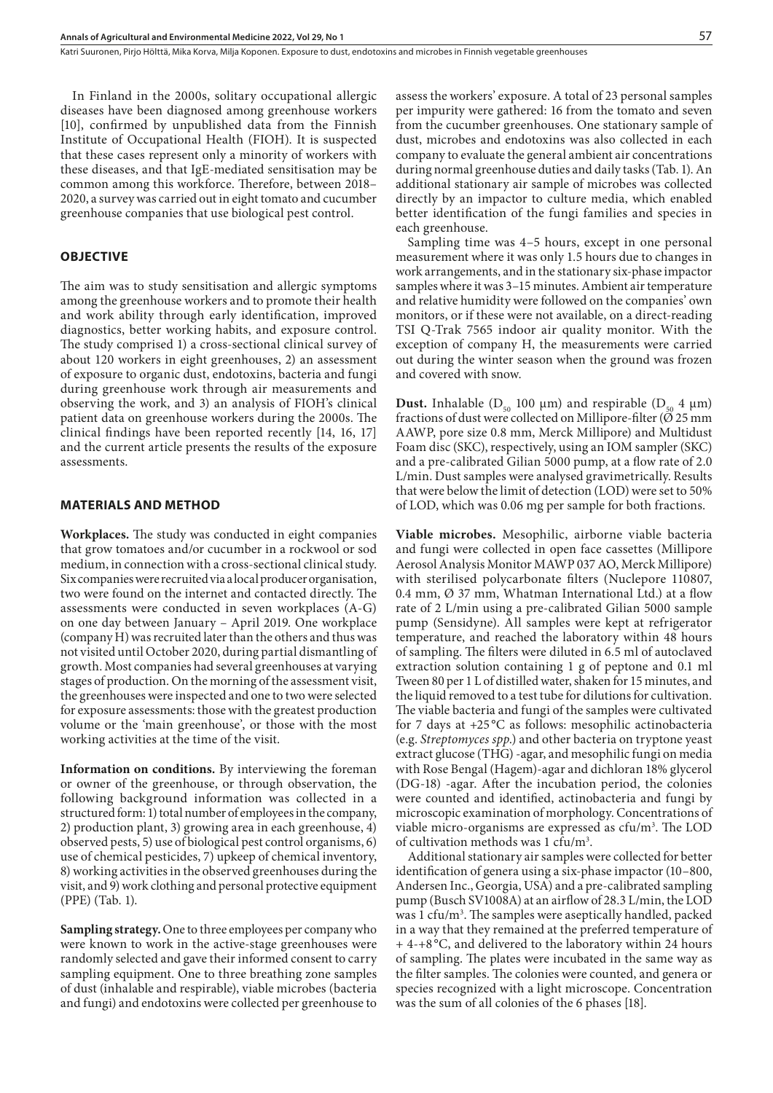In Finland in the 2000s, solitary occupational allergic diseases have been diagnosed among greenhouse workers [10], confirmed by unpublished data from the Finnish Institute of Occupational Health (FIOH). It is suspected that these cases represent only a minority of workers with these diseases, and that IgE-mediated sensitisation may be common among this workforce. Therefore, between 2018– 2020, a survey was carried out in eight tomato and cucumber greenhouse companies that use biological pest control.

#### **OBJECTIVE**

The aim was to study sensitisation and allergic symptoms among the greenhouse workers and to promote their health and work ability through early identification, improved diagnostics, better working habits, and exposure control. The study comprised 1) a cross-sectional clinical survey of about 120 workers in eight greenhouses, 2) an assessment of exposure to organic dust, endotoxins, bacteria and fungi during greenhouse work through air measurements and observing the work, and 3) an analysis of FIOH's clinical patient data on greenhouse workers during the 2000s. The clinical findings have been reported recently [14, 16, 17] and the current article presents the results of the exposure assessments.

#### **MATERIALS AND METHOD**

**Workplaces.** The study was conducted in eight companies that grow tomatoes and/or cucumber in a rockwool or sod medium, in connection with a cross-sectional clinical study. Six companies were recruited via a local producer organisation, two were found on the internet and contacted directly. The assessments were conducted in seven workplaces (A-G) on one day between January – April 2019. One workplace (company H) was recruited later than the others and thus was not visited until October 2020, during partial dismantling of growth. Most companies had several greenhouses at varying stages of production. On the morning of the assessment visit, the greenhouses were inspected and one to two were selected for exposure assessments: those with the greatest production volume or the 'main greenhouse', or those with the most working activities at the time of the visit.

**Information on conditions.** By interviewing the foreman or owner of the greenhouse, or through observation, the following background information was collected in a structured form: 1) total number of employees in the company, 2) production plant, 3) growing area in each greenhouse, 4) observed pests, 5) use of biological pest control organisms, 6) use of chemical pesticides, 7) upkeep of chemical inventory, 8) working activities in the observed greenhouses during the visit, and 9) work clothing and personal protective equipment (PPE) (Tab. 1).

**Sampling strategy.** One to three employees per company who were known to work in the active-stage greenhouses were randomly selected and gave their informed consent to carry sampling equipment. One to three breathing zone samples of dust (inhalable and respirable), viable microbes (bacteria and fungi) and endotoxins were collected per greenhouse to

assess the workers' exposure. A total of 23 personal samples per impurity were gathered: 16 from the tomato and seven from the cucumber greenhouses. One stationary sample of dust, microbes and endotoxins was also collected in each company to evaluate the general ambient air concentrations during normal greenhouse duties and daily tasks (Tab. 1). An additional stationary air sample of microbes was collected directly by an impactor to culture media, which enabled better identification of the fungi families and species in each greenhouse.

Sampling time was 4–5 hours, except in one personal measurement where it was only 1.5 hours due to changes in work arrangements, and in the stationary six-phase impactor samples where it was 3–15 minutes. Ambient air temperature and relative humidity were followed on the companies' own monitors, or if these were not available, on a direct-reading TSI Q-Trak 7565 indoor air quality monitor. With the exception of company H, the measurements were carried out during the winter season when the ground was frozen and covered with snow.

**Dust.** Inhalable ( $D_{50}$  100  $\mu$ m) and respirable ( $D_{50}$  4  $\mu$ m) fractions of dust were collected on Millipore-filter ( $\varnothing$  25 mm AAWP, pore size 0.8 mm, Merck Millipore) and Multidust Foam disc (SKC), respectively, using an IOM sampler (SKC) and a pre-calibrated Gilian 5000 pump, at a flow rate of 2.0 L/min. Dust samples were analysed gravimetrically. Results that were below the limit of detection (LOD) were set to 50% of LOD, which was 0.06 mg per sample for both fractions.

**Viable microbes.** Mesophilic, airborne viable bacteria and fungi were collected in open face cassettes (Millipore Aerosol Analysis Monitor MAWP 037 AO, Merck Millipore) with sterilised polycarbonate filters (Nuclepore 110807, 0.4 mm, Ø 37 mm, Whatman International Ltd.) at a flow rate of 2 L/min using a pre-calibrated Gilian 5000 sample pump (Sensidyne). All samples were kept at refrigerator temperature, and reached the laboratory within 48 hours of sampling. The filters were diluted in 6.5 ml of autoclaved extraction solution containing 1 g of peptone and 0.1 ml Tween 80 per 1 L of distilled water, shaken for 15 minutes, and the liquid removed to a test tube for dilutions for cultivation. The viable bacteria and fungi of the samples were cultivated for 7 days at +25 °C as follows: mesophilic actinobacteria (e.g. *Streptomyces spp*.) and other bacteria on tryptone yeast extract glucose (THG) -agar, and mesophilic fungi on media with Rose Bengal (Hagem)-agar and dichloran 18% glycerol (DG-18) -agar. After the incubation period, the colonies were counted and identified, actinobacteria and fungi by microscopic examination of morphology. Concentrations of viable micro-organisms are expressed as cfu/m<sup>3</sup>. The LOD of cultivation methods was 1 cfu/m<sup>3</sup>.

Additional stationary air samples were collected for better identification of genera using a six-phase impactor (10–800, Andersen Inc., Georgia, USA) and a pre-calibrated sampling pump (Busch SV1008A) at an airflow of 28.3 L/min, the LOD was 1 cfu/m<sup>3</sup>. The samples were aseptically handled, packed in a way that they remained at the preferred temperature of + 4-+8 °C, and delivered to the laboratory within 24 hours of sampling. The plates were incubated in the same way as the filter samples. The colonies were counted, and genera or species recognized with a light microscope. Concentration was the sum of all colonies of the 6 phases [18].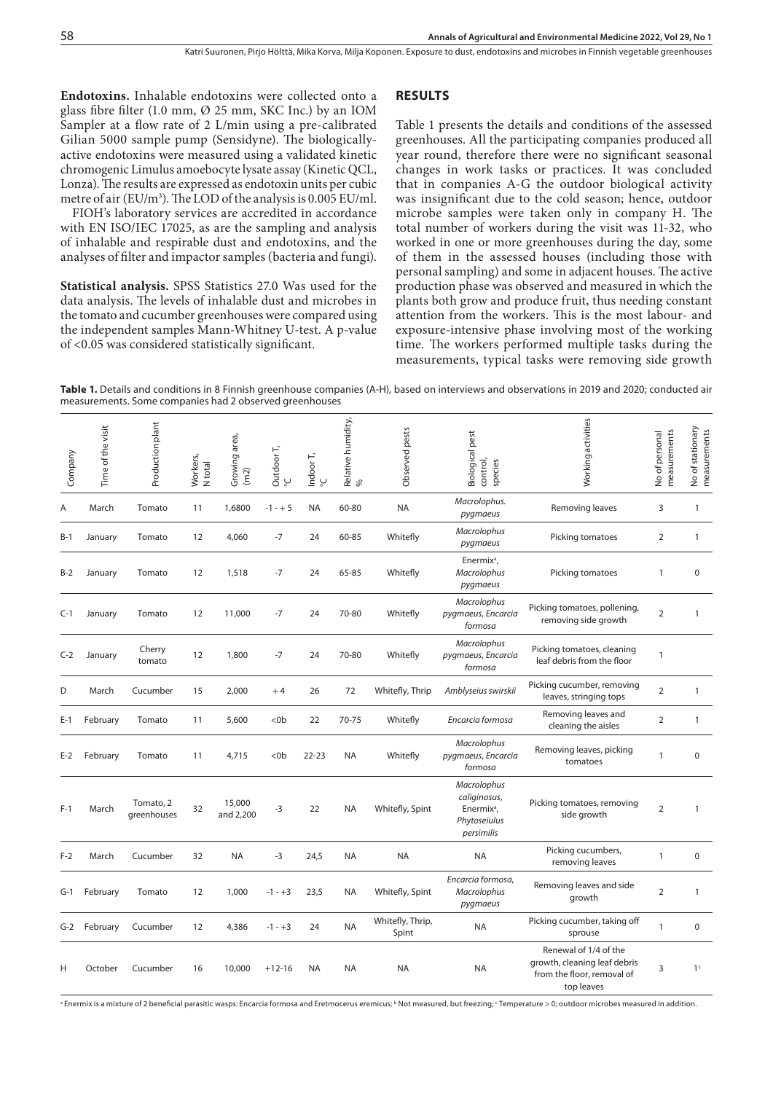**RESULTS**

**Endotoxins.** Inhalable endotoxins were collected onto a glass fibre filter (1.0 mm, Ø 25 mm, SKC Inc.) by an IOM Sampler at a flow rate of 2 L/min using a pre-calibrated Gilian 5000 sample pump (Sensidyne). The biologicallyactive endotoxins were measured using a validated kinetic chromogenic Limulus amoebocyte lysate assay (Kinetic QCL, Lonza). The results are expressed as endotoxin units per cubic metre of air (EU/m3). The LOD of the analysis is 0.005 EU/ml.

FIOH's laboratory services are accredited in accordance with EN ISO/IEC 17025, as are the sampling and analysis of inhalable and respirable dust and endotoxins, and the analyses of filter and impactor samples (bacteria and fungi).

**Statistical analysis.** SPSS Statistics 27.0 Was used for the data analysis. The levels of inhalable dust and microbes in the tomato and cucumber greenhouses were compared using the independent samples Mann-Whitney U-test. A p-value of <0.05 was considered statistically significant.

Table 1 presents the details and conditions of the assessed greenhouses. All the participating companies produced all year round, therefore there were no significant seasonal changes in work tasks or practices. It was concluded that in companies A-G the outdoor biological activity was insignificant due to the cold season; hence, outdoor microbe samples were taken only in company H. The total number of workers during the visit was 11-32, who worked in one or more greenhouses during the day, some of them in the assessed houses (including those with personal sampling) and some in adjacent houses. The active production phase was observed and measured in which the plants both grow and produce fruit, thus needing constant attention from the workers. This is the most labour- and exposure-intensive phase involving most of the working time. The workers performed multiple tasks during the measurements, typical tasks were removing side growth

Table 1. Details and conditions in 8 Finnish greenhouse companies (A-H), based on interviews and observations in 2019 and 2020; conducted air measurements. Some companies had 2 observed greenhouses

| Company | Time of the visit | Production plant         | Workers,<br>N total | Growing area,<br>(m2) | Outdoor T,<br>ؠ | Indoor T, $\frac{1}{C}$ | Relative humidity,<br>% | Observed pests            | Biological pest<br>control,<br>species                                              | Working activities                                                                                | measurements<br>No of personal | No of stationary<br>measurements |
|---------|-------------------|--------------------------|---------------------|-----------------------|-----------------|-------------------------|-------------------------|---------------------------|-------------------------------------------------------------------------------------|---------------------------------------------------------------------------------------------------|--------------------------------|----------------------------------|
| Α       | March             | Tomato                   | 11                  | 1,6800                | $-1 - + 5$      | <b>NA</b>               | 60-80                   | <b>NA</b>                 | Macrolophus.<br>pygmaeus                                                            | Removing leaves                                                                                   | 3                              | $\mathbf{1}$                     |
| $B-1$   | January           | Tomato                   | 12                  | 4,060                 | $-7$            | 24                      | 60-85                   | Whitefly                  | Macrolophus<br>pygmaeus                                                             | Picking tomatoes                                                                                  | $\overline{2}$                 | $\mathbf{1}$                     |
| $B-2$   | January           | Tomato                   | 12                  | 1,518                 | $-7$            | 24                      | 65-85                   | Whitefly                  | Enermix <sup>a</sup> ,<br>Macrolophus<br>pygmaeus                                   | Picking tomatoes                                                                                  | $\mathbf{1}$                   | $\mathbf 0$                      |
| $C-1$   | January           | Tomato                   | 12                  | 11,000                | -7              | 24                      | 70-80                   | Whitefly                  | Macrolophus<br>pygmaeus, Encarcia<br>formosa                                        | Picking tomatoes, pollening,<br>removing side growth                                              | $\overline{2}$                 | 1                                |
| $C-2$   | January           | Cherry<br>tomato         | 12                  | 1,800                 | -7              | 24                      | 70-80                   | Whitefly                  | Macrolophus<br>pygmaeus, Encarcia<br>formosa                                        | Picking tomatoes, cleaning<br>leaf debris from the floor                                          | $\mathbf{1}$                   |                                  |
| D       | March             | Cucumber                 | 15                  | 2,000                 | $+4$            | 26                      | 72                      | Whitefly, Thrip           | Amblyseius swirskii                                                                 | Picking cucumber, removing<br>leaves, stringing tops                                              | $\overline{2}$                 | $\mathbf{1}$                     |
| $E-1$   | February          | Tomato                   | 11                  | 5,600                 | $<$ Ob          | 22                      | 70-75                   | Whitefly                  | Encarcia formosa                                                                    | Removing leaves and<br>cleaning the aisles                                                        | $\overline{2}$                 | $\mathbf{1}$                     |
| $E-2$   | February          | Tomato                   | 11                  | 4,715                 | $<$ Ob          | $22 - 23$               | <b>NA</b>               | Whitefly                  | Macrolophus<br>pygmaeus, Encarcia<br>formosa                                        | Removing leaves, picking<br>tomatoes                                                              | $\mathbf{1}$                   | $\mathbf 0$                      |
| $F-1$   | March             | Tomato, 2<br>greenhouses | 32                  | 15,000<br>and 2,200   | -3              | 22                      | <b>NA</b>               | Whitefly, Spint           | Macrolophus<br>caliginosus,<br>Enermix <sup>a</sup> ,<br>Phytoseiulus<br>persimilis | Picking tomatoes, removing<br>side growth                                                         | $\overline{2}$                 | 1                                |
| $F-2$   | March             | Cucumber                 | 32                  | NA                    | -3              | 24,5                    | NA                      | NA                        | <b>NA</b>                                                                           | Picking cucumbers,<br>removing leaves                                                             | $\mathbf{1}$                   | $\mathbf 0$                      |
| G-1     | February          | Tomato                   | 12                  | 1,000                 | $-1 - +3$       | 23,5                    | <b>NA</b>               | Whitefly, Spint           | Encarcia formosa,<br>Macrolophus<br>pygmaeus                                        | Removing leaves and side<br>growth                                                                | $\overline{2}$                 | 1                                |
| $G-2$   | February          | Cucumber                 | 12                  | 4,386                 | $-1 - +3$       | 24                      | NA                      | Whitefly, Thrip,<br>Spint | NA                                                                                  | Picking cucumber, taking off<br>sprouse                                                           | $\mathbf{1}$                   | $\mathbf 0$                      |
| Н       | October           | Cucumber                 | 16                  | 10,000                | $+12-16$        | <b>NA</b>               | <b>NA</b>               | <b>NA</b>                 | <b>NA</b>                                                                           | Renewal of 1/4 of the<br>growth, cleaning leaf debris<br>from the floor, removal of<br>top leaves | 3                              | 1 <sup>c</sup>                   |

<sup>a</sup> Enermix is a mixture of 2 beneficial parasitic wasps: Encarcia formosa and Eretmocerus eremicus; <sup>b</sup> Not measured, but freezing; ' Temperature > 0; outdoor microbes measured in addition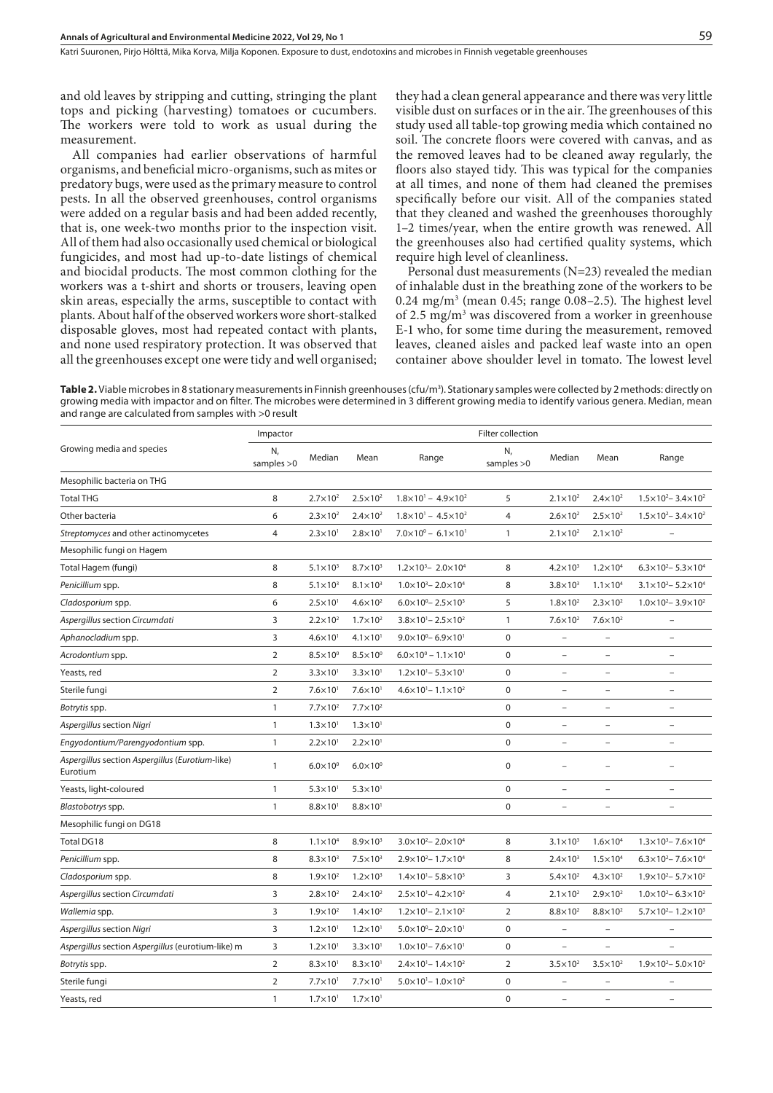Katri Suuronen, Pirjo Hölttä, Mika Korva, Milja Koponen . Exposure to dust, endotoxins and microbes in Finnish vegetable greenhouses

and old leaves by stripping and cutting, stringing the plant tops and picking (harvesting) tomatoes or cucumbers. The workers were told to work as usual during the measurement.

All companies had earlier observations of harmful organisms, and beneficial micro-organisms, such as mites or predatory bugs, were used as the primary measure to control pests. In all the observed greenhouses, control organisms were added on a regular basis and had been added recently, that is, one week-two months prior to the inspection visit. All of them had also occasionally used chemical or biological fungicides, and most had up-to-date listings of chemical and biocidal products. The most common clothing for the workers was a t-shirt and shorts or trousers, leaving open skin areas, especially the arms, susceptible to contact with plants. About half of the observed workers wore short-stalked disposable gloves, most had repeated contact with plants, and none used respiratory protection. It was observed that all the greenhouses except one were tidy and well organised; they had a clean general appearance and there was very little visible dust on surfaces or in the air. The greenhouses of this study used all table-top growing media which contained no soil. The concrete floors were covered with canvas, and as the removed leaves had to be cleaned away regularly, the floors also stayed tidy. This was typical for the companies at all times, and none of them had cleaned the premises specifically before our visit. All of the companies stated that they cleaned and washed the greenhouses thoroughly 1–2 times/year, when the entire growth was renewed. All the greenhouses also had certified quality systems, which require high level of cleanliness.

Personal dust measurements  $(N=23)$  revealed the median of inhalable dust in the breathing zone of the workers to be  $0.24 \text{ mg/m}^3$  (mean 0.45; range 0.08–2.5). The highest level of 2.5 mg/m<sup>3</sup> was discovered from a worker in greenhouse E-1 who, for some time during the measurement, removed leaves, cleaned aisles and packed leaf waste into an open container above shoulder level in tomato. The lowest level

**Table 2.** Viable microbes in 8 stationary measurements in Finnish greenhouses (cfu/m<sup>3</sup>). Stationary samples were collected by 2 methods: directly on growing media with impactor and on filter. The microbes were determined in 3 different growing media to identify various genera. Median, mean and range are calculated from samples with >0 result

| Impactor           |                            | Filter collection   |                                         |                    |                          |                          |                                         |  |
|--------------------|----------------------------|---------------------|-----------------------------------------|--------------------|--------------------------|--------------------------|-----------------------------------------|--|
| N,<br>samples $>0$ | Median                     | Mean                | Range                                   | N,<br>samples $>0$ | Median                   | Mean                     | Range                                   |  |
|                    |                            |                     |                                         |                    |                          |                          |                                         |  |
| 8                  | $2.7\times10^{2}$          | $2.5 \times 10^{2}$ | $1.8 \times 10^{1} - 4.9 \times 10^{2}$ | 5                  | $2.1 \times 10^{2}$      | $2.4 \times 10^{2}$      | $1.5 \times 10^{2} - 3.4 \times 10^{2}$ |  |
| 6                  | $2.3 \times 10^{2}$        | $2.4 \times 10^{2}$ | $1.8 \times 10^{1} - 4.5 \times 10^{2}$ | $\overline{4}$     | $2.6 \times 10^{2}$      | $2.5 \times 10^{2}$      | $1.5 \times 10^{2} - 3.4 \times 10^{2}$ |  |
| $\overline{4}$     | $2.3 \times 10^{1}$        | $2.8 \times 10^{1}$ | $7.0 \times 10^{0} - 6.1 \times 10^{1}$ | $\mathbf{1}$       | $2.1 \times 10^{2}$      | $2.1 \times 10^{2}$      |                                         |  |
|                    |                            |                     |                                         |                    |                          |                          |                                         |  |
| 8                  | $5.1 \times 10^{3}$        | $8.7\times10^3$     | $1.2 \times 10^3 - 2.0 \times 10^4$     | 8                  | $4.2 \times 10^{3}$      | $1.2 \times 10^{4}$      | $6.3 \times 10^{2} - 5.3 \times 10^{4}$ |  |
| 8                  | $5.1 \times 10^{3}$        | $8.1 \times 10^{3}$ | $1.0\times10^{3} - 2.0\times10^{4}$     | 8                  | $3.8\times10^3$          | $1.1 \times 10^{4}$      | $3.1 \times 10^{2} - 5.2 \times 10^{4}$ |  |
| 6                  | $2.5 \times 10^{1}$        | $4.6 \times 10^{2}$ | $6.0 \times 10^{0} - 2.5 \times 10^{3}$ | 5                  | $1.8 \times 10^{2}$      | $2.3 \times 10^{2}$      | $1.0\times10^{2} - 3.9\times10^{2}$     |  |
| 3                  | $2.2\times10^2$            | $1.7 \times 10^{2}$ | $3.8 \times 10^{1} - 2.5 \times 10^{2}$ | $\mathbf{1}$       | $7.6\times10^{2}$        | $7.6\times10^{2}$        | $\qquad \qquad -$                       |  |
| 3                  | $4.6 \times 10^{1}$        | $4.1 \times 10^{1}$ | $9.0 \times 10^0 - 6.9 \times 10^1$     | $\mathbf 0$        |                          |                          |                                         |  |
| $\overline{2}$     | $8.5\times10^{0}$          | $8.5\times10^{0}$   | $6.0 \times 10^{0} - 1.1 \times 10^{1}$ | $\mathbf 0$        | $\overline{\phantom{a}}$ | $\overline{\phantom{a}}$ | $\qquad \qquad -$                       |  |
| $\overline{2}$     | $3.3 \times 10^{1}$        | $3.3 \times 10^{1}$ | $1.2 \times 10^{1} - 5.3 \times 10^{1}$ | $\mathbf 0$        | $\overline{\phantom{0}}$ | $\overline{\phantom{0}}$ | $\overline{\phantom{0}}$                |  |
| $\overline{2}$     | $7.6\times10$ <sup>1</sup> | $7.6 \times 10^{1}$ | $4.6 \times 10^{1} - 1.1 \times 10^{2}$ | $\mathbf 0$        | $\overline{\phantom{0}}$ | $\overline{a}$           | $\overline{\phantom{0}}$                |  |
| $\mathbf{1}$       | $7.7 \times 10^{2}$        | $7.7 \times 10^{2}$ |                                         | $\pmb{0}$          | $\overline{a}$           | $\overline{a}$           | $\overline{a}$                          |  |
| $\mathbf{1}$       | $1.3 \times 10^{1}$        | $1.3 \times 10^{1}$ |                                         | $\pmb{0}$          | $\qquad \qquad -$        | $\qquad \qquad -$        | $\overline{\phantom{0}}$                |  |
| $\mathbf{1}$       | $2.2\times101$             | $2.2 \times 10^{1}$ |                                         | $\mathbf 0$        | $\overline{a}$           | $\overline{a}$           |                                         |  |
| $\mathbf{1}$       | $6.0 \times 10^{0}$        | $6.0\times10^{0}$   |                                         | $\mathbf 0$        | $\overline{a}$           | $\overline{a}$           | $\overline{\phantom{a}}$                |  |
| $\mathbf{1}$       | $5.3 \times 10^{1}$        | $5.3 \times 10^{1}$ |                                         | $\boldsymbol{0}$   | $\overline{\phantom{a}}$ | $\overline{\phantom{0}}$ | $\overline{\phantom{0}}$                |  |
| $\mathbf{1}$       | $8.8 \times 10^{1}$        | $8.8 \times 10^{1}$ |                                         | $\mathbf 0$        | $\overline{a}$           | $\overline{\phantom{0}}$ | $\overline{\phantom{0}}$                |  |
|                    |                            |                     |                                         |                    |                          |                          |                                         |  |
| 8                  | $1.1 \times 10^{4}$        | $8.9\times10^3$     | $3.0 \times 10^{2} - 2.0 \times 10^{4}$ | 8                  | $3.1\times10^3$          | $1.6 \times 10^{4}$      | $1.3 \times 10^3 - 7.6 \times 10^4$     |  |
| 8                  | $8.3 \times 10^{3}$        | $7.5 \times 10^3$   | $2.9 \times 10^{2} - 1.7 \times 10^{4}$ | 8                  | $2.4 \times 10^{3}$      | $1.5 \times 10^{4}$      | $6.3 \times 10^{2} - 7.6 \times 10^{4}$ |  |
| 8                  | $1.9 \times 10^{2}$        | $1.2 \times 10^{3}$ | $1.4 \times 10^{1} - 5.8 \times 10^{3}$ | 3                  | $5.4 \times 10^{2}$      | $4.3 \times 10^{2}$      | $1.9 \times 10^{2} - 5.7 \times 10^{2}$ |  |
| 3                  | $2.8 \times 10^{2}$        | $2.4 \times 10^{2}$ | $2.5 \times 10^{1} - 4.2 \times 10^{2}$ | $\overline{4}$     | $2.1 \times 10^{2}$      | $2.9 \times 10^{2}$      | $1.0 \times 10^{2} - 6.3 \times 10^{2}$ |  |
| $\mathsf 3$        | $1.9 \times 10^{2}$        | $1.4 \times 10^{2}$ | $1.2 \times 10^{1} - 2.1 \times 10^{2}$ | $\mathbf 2$        | $8.8\times10^{2}$        | $8.8 \times 10^{2}$      | $5.7 \times 10^{2} - 1.2 \times 10^{3}$ |  |
| $\overline{3}$     | $1.2 \times 10^{1}$        | $1.2 \times 10^{1}$ | $5.0 \times 10^0 - 2.0 \times 10^1$     | $\mathbf 0$        | $\overline{\phantom{a}}$ | $\overline{\phantom{a}}$ | $\overline{\phantom{0}}$                |  |
| 3                  | $1.2 \times 10^{1}$        | $3.3 \times 10^{1}$ | $1.0 \times 10^{1} - 7.6 \times 10^{1}$ | $\mathbf 0$        | $\overline{\phantom{0}}$ | $\overline{\phantom{0}}$ |                                         |  |
| $\overline{2}$     | $8.3 \times 10^{1}$        | $8.3 \times 10^{1}$ | $2.4 \times 10^{1} - 1.4 \times 10^{2}$ | $\overline{2}$     | $3.5 \times 10^2$        | $3.5 \times 10^2$        | $1.9 \times 10^{2} - 5.0 \times 10^{2}$ |  |
| $\overline{2}$     | $7.7\times101$             | $7.7 \times 10^{1}$ | $5.0 \times 10^{1} - 1.0 \times 10^{2}$ | $\pmb{0}$          |                          |                          |                                         |  |
| $\mathbf{1}$       | $1.7 \times 10^{1}$        | $1.7 \times 10^{1}$ |                                         | $\mathbf 0$        | $\overline{\phantom{0}}$ | $\qquad \qquad -$        | $\qquad \qquad -$                       |  |
|                    |                            |                     |                                         |                    |                          |                          |                                         |  |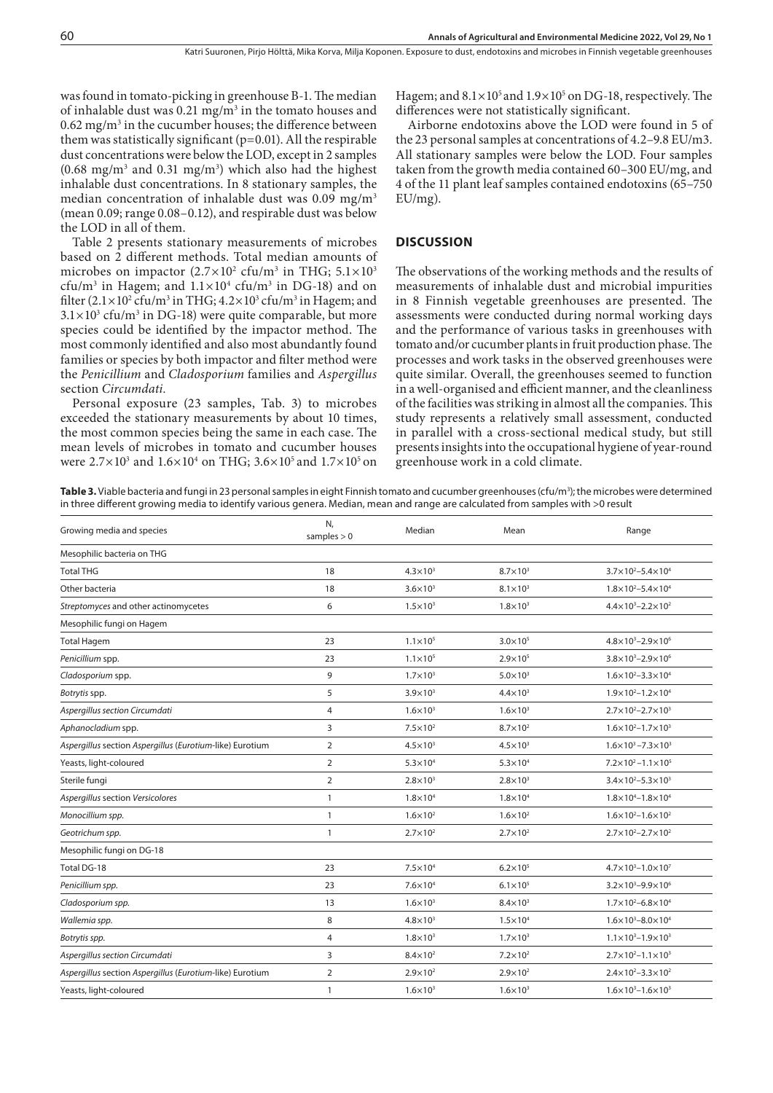was found in tomato-picking in greenhouse B-1. The median of inhalable dust was  $0.21 \text{ mg/m}^3$  in the tomato houses and  $0.62$  mg/m<sup>3</sup> in the cucumber houses; the difference between them was statistically significant (p=0.01). All the respirable dust concentrations were below the LOD, except in 2 samples  $(0.68 \text{ mg/m}^3 \text{ and } 0.31 \text{ mg/m}^3)$  which also had the highest inhalable dust concentrations. In 8 stationary samples, the median concentration of inhalable dust was  $0.09$  mg/m<sup>3</sup> (mean 0.09; range 0.08–0.12), and respirable dust was below the LOD in all of them.

Table 2 presents stationary measurements of microbes based on 2 different methods. Total median amounts of microbes on impactor  $(2.7\times10^{2}~\text{ctu/m}^{3}$  in THG;  $5.1\times10^{3}$  $cfu/m^3$  in Hagem; and  $1.1 \times 10^4$  cfu/m<sup>3</sup> in DG-18) and on filter (2.1×10<sup>2</sup> cfu/m<sup>3</sup> in THG; 4.2×10<sup>3</sup> cfu/m<sup>3</sup> in Hagem; and  $3.1 \times 10^3$  cfu/m<sup>3</sup> in DG-18) were quite comparable, but more species could be identified by the impactor method. The most commonly identified and also most abundantly found families or species by both impactor and filter method were the *Penicillium* and *Cladosporium* families and *Aspergillus*  section *Circumdati.*

Personal exposure (23 samples, Tab. 3) to microbes exceeded the stationary measurements by about 10 times, the most common species being the same in each case. The mean levels of microbes in tomato and cucumber houses were  $2.7 \times 10^3$  and  $1.6 \times 10^4$  on THG;  $3.6 \times 10^5$  and  $1.7 \times 10^5$  on

Hagem; and  $8.1 \times 10^5$  and  $1.9 \times 10^5$  on DG-18, respectively. The differences were not statistically significant.

Airborne endotoxins above the LOD were found in 5 of the 23 personal samples at concentrations of 4.2–9.8 EU/m3. All stationary samples were below the LOD. Four samples taken from the growth media contained 60–300 EU/mg, and 4 of the 11 plant leaf samples contained endotoxins (65–750 EU/mg).

#### **DISCUSSION**

The observations of the working methods and the results of measurements of inhalable dust and microbial impurities in 8 Finnish vegetable greenhouses are presented. The assessments were conducted during normal working days and the performance of various tasks in greenhouses with tomato and/or cucumber plants in fruit production phase. The processes and work tasks in the observed greenhouses were quite similar. Overall, the greenhouses seemed to function in a well-organised and efficient manner, and the cleanliness of the facilities was striking in almost all the companies. This study represents a relatively small assessment, conducted in parallel with a cross-sectional medical study, but still presents insights into the occupational hygiene of year-round greenhouse work in a cold climate.

**Table 3.** Viable bacteria and fungi in 23 personal samples in eight Finnish tomato and cucumber greenhouses (cfu/m<sup>3</sup>); the microbes were determined in three different growing media to identify various genera. Median, mean and range are calculated from samples with >0 result

| Growing media and species                                | N,<br>samples $> 0$ | Median              | Mean                | Range                                   |  |
|----------------------------------------------------------|---------------------|---------------------|---------------------|-----------------------------------------|--|
| Mesophilic bacteria on THG                               |                     |                     |                     |                                         |  |
| <b>Total THG</b>                                         | 18                  | $4.3 \times 10^{3}$ | $8.7\times10^3$     | $3.7\times10^{2}-5.4\times10^{4}$       |  |
| Other bacteria                                           | 18                  | $3.6\times10^3$     | $8.1 \times 10^{3}$ | $1.8\times10^{2}-5.4\times10^{4}$       |  |
| Streptomyces and other actinomycetes                     | 6                   | $1.5 \times 10^{3}$ | $1.8\times10^3$     | $4.4 \times 10^{3} - 2.2 \times 10^{2}$ |  |
| Mesophilic fungi on Hagem                                |                     |                     |                     |                                         |  |
| <b>Total Hagem</b>                                       | 23                  | $1.1 \times 10^{5}$ | $3.0\times10^{5}$   | $4.8 \times 10^{3} - 2.9 \times 10^{6}$ |  |
| Penicillium spp.                                         | 23                  | $1.1 \times 10^{5}$ | $2.9 \times 10^{5}$ | $3.8 \times 10^3 - 2.9 \times 10^6$     |  |
| Cladosporium spp.                                        | 9                   | $1.7 \times 10^{3}$ | $5.0 \times 10^{3}$ | $1.6 \times 10^{2} - 3.3 \times 10^{4}$ |  |
| Botrytis spp.                                            | 5                   | $3.9\times10^3$     | $4.4 \times 10^{3}$ | $1.9 \times 10^{2} - 1.2 \times 10^{4}$ |  |
| Aspergillus section Circumdati                           | $\overline{4}$      | $1.6 \times 10^{3}$ | $1.6 \times 10^{3}$ | $2.7\times10^{2} - 2.7\times10^{3}$     |  |
| Aphanocladium spp.                                       | 3                   | $7.5 \times 10^2$   | $8.7\times10^2$     | $1.6 \times 10^{2} - 1.7 \times 10^{3}$ |  |
| Aspergillus section Aspergillus (Eurotium-like) Eurotium | $\overline{2}$      | $4.5 \times 10^3$   | $4.5 \times 10^3$   | $1.6 \times 10^3 - 7.3 \times 10^3$     |  |
| Yeasts, light-coloured                                   | $\overline{2}$      | $5.3 \times 10^{4}$ | $5.3 \times 10^{4}$ | $7.2 \times 10^2 - 1.1 \times 10^5$     |  |
| Sterile fungi                                            | $\overline{2}$      | $2.8\times10^3$     | $2.8\times10^3$     | $3.4 \times 10^{2} - 5.3 \times 10^{3}$ |  |
| Aspergillus section Versicolores                         | $\mathbf{1}$        | $1.8 \times 10^{4}$ | $1.8\times10^4$     | $1.8\times10^{4} - 1.8\times10^{4}$     |  |
| Monocillium spp.                                         | $\mathbf{1}$        | $1.6 \times 10^{2}$ | $1.6\times10^2$     | $1.6 \times 10^{2} - 1.6 \times 10^{2}$ |  |
| Geotrichum spp.                                          | $\mathbf{1}$        | $2.7\times10^{2}$   | $2.7\times10^2$     | $2.7 \times 10^2 - 2.7 \times 10^2$     |  |
| Mesophilic fungi on DG-18                                |                     |                     |                     |                                         |  |
| Total DG-18                                              | 23                  | $7.5 \times 10^4$   | $6.2 \times 10^{5}$ | $4.7 \times 10^{3} - 1.0 \times 10^{7}$ |  |
| Penicillium spp.                                         | 23                  | $7.6\times10^4$     | $6.1 \times 10^{5}$ | $3.2\times10^{3}-9.9\times10^{6}$       |  |
| Cladosporium spp.                                        | 13                  | $1.6 \times 10^{3}$ | $8.4\times10^3$     | $1.7\times10^{2} - 6.8\times10^{4}$     |  |
| Wallemia spp.                                            | 8                   | $4.8 \times 10^{3}$ | $1.5 \times 10^{4}$ | $1.6\times10^{3}-8.0\times10^{4}$       |  |
| Botrytis spp.                                            | $\overline{4}$      | $1.8 \times 10^{3}$ | $1.7\times10^3$     | $1.1 \times 10^{3} - 1.9 \times 10^{3}$ |  |
| Aspergillus section Circumdati                           | 3                   | $8.4 \times 10^{2}$ | $7.2\times10^2$     | $2.7 \times 10^{2} - 1.1 \times 10^{3}$ |  |
| Aspergillus section Aspergillus (Eurotium-like) Eurotium | $\overline{2}$      | $2.9\times10^{2}$   | $2.9 \times 10^{2}$ | $2.4 \times 10^{2} - 3.3 \times 10^{2}$ |  |
| Yeasts, light-coloured                                   | $\mathbf{1}$        | $1.6 \times 10^{3}$ | $1.6 \times 10^{3}$ | $1.6 \times 10^{3} - 1.6 \times 10^{3}$ |  |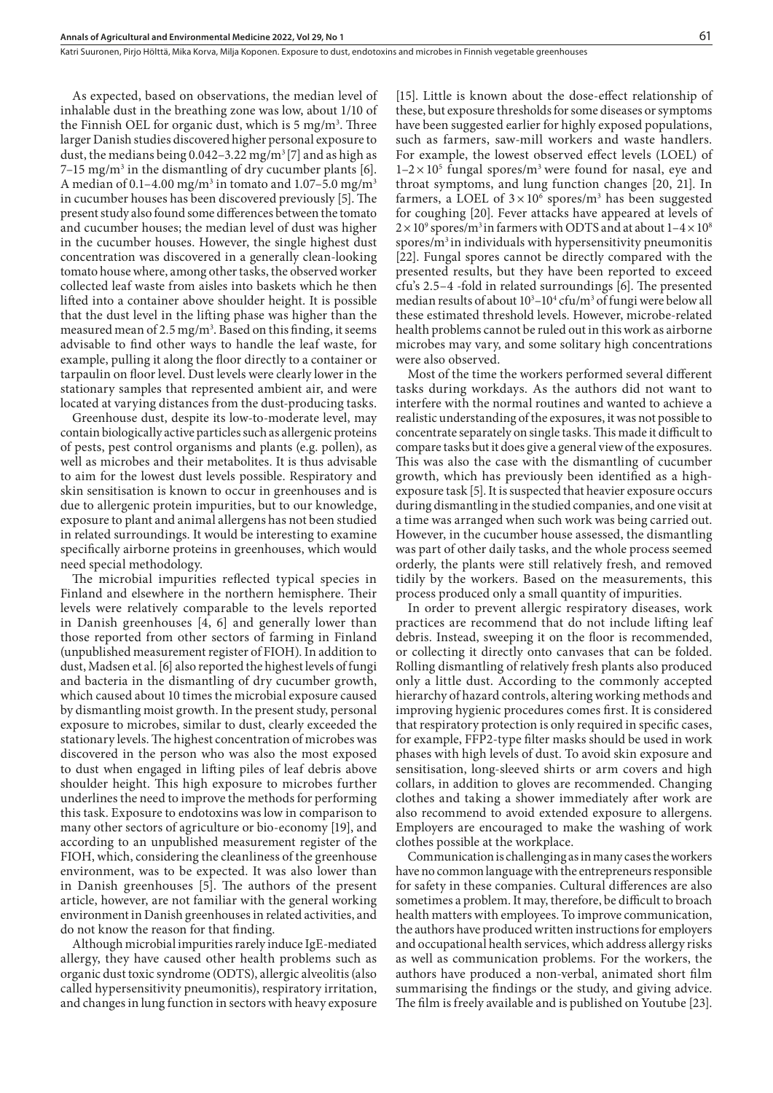As expected, based on observations, the median level of inhalable dust in the breathing zone was low, about 1/10 of the Finnish OEL for organic dust, which is 5 mg/m<sup>3</sup>. Three larger Danish studies discovered higher personal exposure to dust, the medians being  $0.042 - 3.22$  mg/m<sup>3</sup> [7] and as high as  $7-15 \text{ mg/m}^3$  in the dismantling of dry cucumber plants [6]. A median of 0.1–4.00 mg/m $^3$  in tomato and 1.07–5.0 mg/m $^3$ in cucumber houses has been discovered previously [5]. The present study also found some differences between the tomato and cucumber houses; the median level of dust was higher in the cucumber houses. However, the single highest dust concentration was discovered in a generally clean-looking tomato house where, among other tasks, the observed worker collected leaf waste from aisles into baskets which he then lifted into a container above shoulder height. It is possible that the dust level in the lifting phase was higher than the measured mean of 2.5 mg/m<sup>3</sup>. Based on this finding, it seems advisable to find other ways to handle the leaf waste, for example, pulling it along the floor directly to a container or tarpaulin on floor level. Dust levels were clearly lower in the stationary samples that represented ambient air, and were located at varying distances from the dust-producing tasks.

Greenhouse dust, despite its low-to-moderate level, may contain biologically active particles such as allergenic proteins of pests, pest control organisms and plants (e.g. pollen), as well as microbes and their metabolites. It is thus advisable to aim for the lowest dust levels possible. Respiratory and skin sensitisation is known to occur in greenhouses and is due to allergenic protein impurities, but to our knowledge, exposure to plant and animal allergens has not been studied in related surroundings. It would be interesting to examine specifically airborne proteins in greenhouses, which would need special methodology.

The microbial impurities reflected typical species in Finland and elsewhere in the northern hemisphere. Their levels were relatively comparable to the levels reported in Danish greenhouses [4, 6] and generally lower than those reported from other sectors of farming in Finland (unpublished measurement register of FIOH). In addition to dust, Madsen et al. [6] also reported the highest levels of fungi and bacteria in the dismantling of dry cucumber growth, which caused about 10 times the microbial exposure caused by dismantling moist growth. In the present study, personal exposure to microbes, similar to dust, clearly exceeded the stationary levels. The highest concentration of microbes was discovered in the person who was also the most exposed to dust when engaged in lifting piles of leaf debris above shoulder height. This high exposure to microbes further underlines the need to improve the methods for performing this task. Exposure to endotoxins was low in comparison to many other sectors of agriculture or bio-economy [19], and according to an unpublished measurement register of the FIOH, which, considering the cleanliness of the greenhouse environment, was to be expected. It was also lower than in Danish greenhouses [5]. The authors of the present article, however, are not familiar with the general working environment in Danish greenhouses in related activities, and do not know the reason for that finding.

Although microbial impurities rarely induce IgE-mediated allergy, they have caused other health problems such as organic dust toxic syndrome (ODTS), allergic alveolitis (also called hypersensitivity pneumonitis), respiratory irritation, and changes in lung function in sectors with heavy exposure

[15]. Little is known about the dose-effect relationship of these, but exposure thresholds for some diseases or symptoms have been suggested earlier for highly exposed populations, such as farmers, saw-mill workers and waste handlers. For example, the lowest observed effect levels (LOEL) of  $1-2 \times 10^5$  fungal spores/m<sup>3</sup> were found for nasal, eye and throat symptoms, and lung function changes [20, 21]. In farmers, a LOEL of  $3 \times 10^6$  spores/m<sup>3</sup> has been suggested for coughing [20]. Fever attacks have appeared at levels of  $2 \times 10^9$  spores/m<sup>3</sup> in farmers with ODTS and at about  $1 - 4 \times 10^8$ spores/ $m<sup>3</sup>$  in individuals with hypersensitivity pneumonitis [22]. Fungal spores cannot be directly compared with the presented results, but they have been reported to exceed cfu's 2.5–4 -fold in related surroundings [6]. The presented median results of about  $10^3-10^4$  cfu/m<sup>3</sup> of fungi were below all these estimated threshold levels. However, microbe-related health problems cannot be ruled out in this work as airborne microbes may vary, and some solitary high concentrations were also observed.

Most of the time the workers performed several different tasks during workdays. As the authors did not want to interfere with the normal routines and wanted to achieve a realistic understanding of the exposures, it was not possible to concentrate separately on single tasks. This made it difficult to compare tasks but it does give a general view of the exposures. This was also the case with the dismantling of cucumber growth, which has previously been identified as a highexposure task [5]. It is suspected that heavier exposure occurs during dismantling in the studied companies, and one visit at a time was arranged when such work was being carried out. However, in the cucumber house assessed, the dismantling was part of other daily tasks, and the whole process seemed orderly, the plants were still relatively fresh, and removed tidily by the workers. Based on the measurements, this process produced only a small quantity of impurities.

In order to prevent allergic respiratory diseases, work practices are recommend that do not include lifting leaf debris. Instead, sweeping it on the floor is recommended, or collecting it directly onto canvases that can be folded. Rolling dismantling of relatively fresh plants also produced only a little dust. According to the commonly accepted hierarchy of hazard controls, altering working methods and improving hygienic procedures comes first. It is considered that respiratory protection is only required in specific cases, for example, FFP2-type filter masks should be used in work phases with high levels of dust. To avoid skin exposure and sensitisation, long-sleeved shirts or arm covers and high collars, in addition to gloves are recommended. Changing clothes and taking a shower immediately after work are also recommend to avoid extended exposure to allergens. Employers are encouraged to make the washing of work clothes possible at the workplace.

Communication is challenging as in many cases the workers have no common language with the entrepreneurs responsible for safety in these companies. Cultural differences are also sometimes a problem. It may, therefore, be difficult to broach health matters with employees. To improve communication, the authors have produced written instructions for employers and occupational health services, which address allergy risks as well as communication problems. For the workers, the authors have produced a non-verbal, animated short film summarising the findings or the study, and giving advice. The film is freely available and is published on Youtube [23].